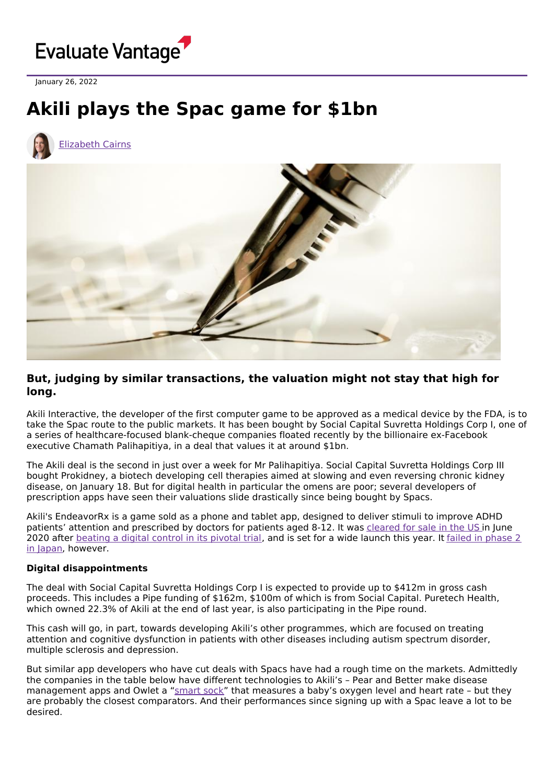

January 26, 2022

## **Akili plays the Spac game for \$1bn**



## **But, judging by similar transactions, the valuation might not stay that high for long.**

Akili Interactive, the developer of the first computer game to be approved as a medical device by the FDA, is to take the Spac route to the public markets. It has been bought by Social Capital Suvretta Holdings Corp I, one of a series of healthcare-focused blank-cheque companies floated recently by the billionaire ex-Facebook executive Chamath Palihapitiya, in a deal that values it at around \$1bn.

The Akili deal is the second in just over a week for Mr Palihapitiya. Social Capital Suvretta Holdings Corp III bought Prokidney, a biotech developing cell therapies aimed at slowing and even reversing chronic kidney disease, on January 18. But for digital health in particular the omens are poor; several developers of prescription apps have seen their valuations slide drastically since being bought by Spacs.

Akili's EndeavorRx is a game sold as a phone and tablet app, designed to deliver stimuli to improve ADHD patients' attention and prescribed by doctors for patients aged 8-12. It was [cleared](https://www.evaluate.com/vantage/articles/news/snippets/akilis-therapeutic-computer-game-snares-world-first-approval) for sale in the US in June 2020 after [beating](https://www.evaluate.com/vantage/articles/news/snippets/akili-hopes-fda-pays-attention) a digital control in its pivotal trial, and is set for a wide launch this year. It failed in phase 2 in Japan, [however.](https://www.evaluate.com/vantage/articles/news/snippets/akili-and-shionogi-find-clinical-game-hard-play)

## **Digital disappointments**

The deal with Social Capital Suvretta Holdings Corp I is expected to provide up to \$412m in gross cash proceeds. This includes a Pipe funding of \$162m, \$100m of which is from Social Capital. Puretech Health, which owned 22.3% of Akili at the end of last year, is also participating in the Pipe round.

This cash will go, in part, towards developing Akili's other programmes, which are focused on treating attention and cognitive dysfunction in patients with other diseases including autism spectrum disorder, multiple sclerosis and depression.

But similar app developers who have cut deals with Spacs have had a rough time on the markets. Admittedly the companies in the table below have different technologies to Akili's – Pear and Better make disease management apps and Owlet a "[smart](https://www.evaluate.com/vantage/articles/analysis/spotlight/spac-sparkle-wins-over-health-techs) sock" that measures a baby's oxygen level and heart rate - but they are probably the closest comparators. And their performances since signing up with a Spac leave a lot to be desired.